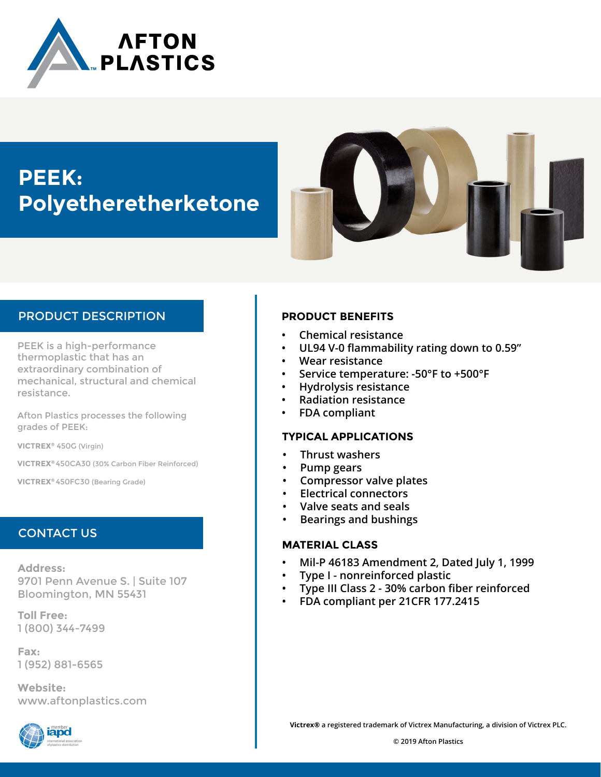

# **PEEK: Polyetheretherketone**



# PRODUCT DESCRIPTION

PEEK is a high-performance thermoplastic that has an extraordinary combination of mechanical, structural and chemical resistance.

Afton Plastics processes the following grades of PEEK:

**VICTREX®** 450G (Virgin)

**VICTREX®** 450CA30 (30% Carbon Fiber Reinforced)

**VICTREX®** 450FC30 (Bearing Grade)

## CONTACT US

**Address:** 9701 Penn Avenue S. | Suite 107 Bloomington, MN 55431

**Toll Free:** 1 (800) 344-7499

**Fax:** 1 (952) 881-6565

**Website:** www.aftonplastics.com



## **PRODUCT BENEFITS**

- **• Chemical resistance**
- **• UL94 V-0 flammability rating down to 0.59"**
- **• Wear resistance**
- **• Service temperature: -50°F to +500°F**
- **• Hydrolysis resistance**
- **• Radiation resistance**
- **• FDA compliant**

### **TYPICAL APPLICATIONS**

- **• Thrust washers**
- **• Pump gears**
- **• Compressor valve plates**
- **• Electrical connectors**
- **• Valve seats and seals**
- **• Bearings and bushings**

### **MATERIAL CLASS**

- **• Mil-P 46183 Amendment 2, Dated July 1, 1999**
- **• Type I nonreinforced plastic**
- **• Type III Class 2 30% carbon fiber reinforced**
- **• FDA compliant per 21CFR 177.2415**